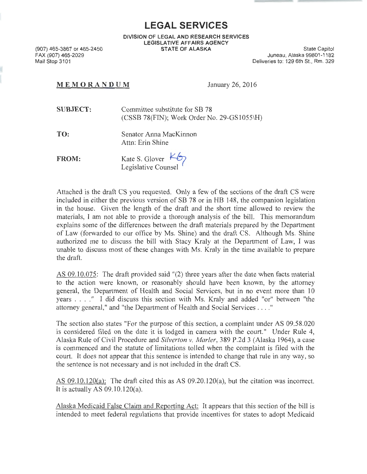**LEGAL SERVICES** 

**DIVISION OF LEGAL AND RESEARCH SERVICES LEGISLATIVE AFFAIRS AGENCY STATE OF ALASKA** State Capitol

(907) 465-3867 or 465-2450 FAX (907) 465-2029 Mail Stop 3101

Juneau, Alaska 99801-1182 Deliveries to: 129 6th St., Rm. 329

## **MEM O RANDUM** January 26, 2016

**SUBJECT:**  Committee substitute for SB 78  $(CSSB 78$ (FIN); Work Order No. 29-GS1055\H)

**TO:**  Senator Anna MacKinnon Attn: Erin Shine

**FROM:**  Kate S. Glover  $\overline{\mathcal{L}_{\mathcal{O}}}$ <br>Legislative Counsel

Attached is the draft CS you requested. Only a few of the sections of the draft CS were included in either the previous version of SB 78 or in HB 148, the companion legislation in the house. Given the length of the draft and the short time allowed to review the materials, I am not able to provide a thorough analysis of the bill. This memorandum explains some of the differences between the draft materials prepared by the Department of Law (forwarded to our office by Ms. Shine) and the draft CS. Although Ms. Shine authorized me to discuss the bill with Stacy Kraly at the Department of Law, I was unable to discuss most of these changes with Ms. Kraly in the time available to prepare the draft.

AS 09.10.075: The draft provided said "(2) three years after the date when facts material to the action were known, or reasonably should have been known, by the attorney general, the Department of Health and Social Services, but in no event more than 10 years .... " I did discuss this section with Ms. Kraly and added "or" between "the attorney general," and "the Department of Health and Social Services .. .. "

The section also states "For the purpose of this section, a complaint under AS 09.58.020 is considered filed on the date it is lodged in camera with the court." Under Rule 4, Alaska Rule of Civil Procedure and *Silverton v. Marler,* 3 89 P .2d 3 (Alaska 1964 ), a case is commenced and the statute of limitations tolled when the complaint is filed with the court. It does not appear that this sentence is intended to change that rule in any way, so the sentence is not necessary and is not included in the draft CS.

AS 09.10.120(a): The draft cited this as AS 09.20.120(a), but the citation was incorrect. It is actually AS  $09.10.120(a)$ .

Alaska Medicaid False Claim and Reporting Act: It appears that this section of the bill is intended to meet federal regulations that provide incentives for states to adopt Medicaid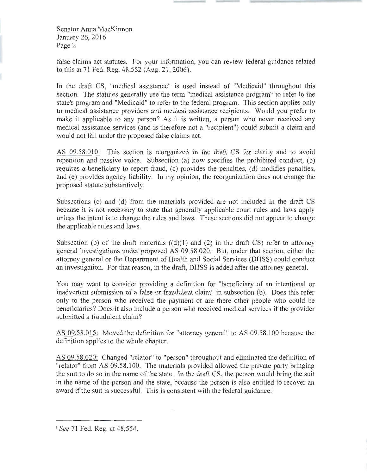false claims act statutes. For your information, you can review federal guidance related to this at 71 Fed. Reg. 48,552 (Aug. 21, 2006).

In the draft CS, "medical assistance" is used instead of "Medicaid" throughout this section. The statutes generally use the term "medical assistance program" to refer to the state's program and "Medicaid" to refer to the federal program. This section applies only to medical assistance providers and medical assistance recipients. Would you prefer to make it applicable to any person? As it is written, a person who never received any medical assistance services (and is therefore not a "recipient") could submit a claim and would not fall under the proposed false claims act.

AS 09.58.010: This section is reorganized in the draft CS for clarity and to avoid repetition and passive voice. Subsection (a) now specifies the prohibited conduct, (b) requires a beneficiary to report fraud, (c) provides the penalties, (d) modifies penalties, and (e) provides agency liability. In my opinion, the reorganization does not change the proposed statute substantively.

Subsections (c) and (d) from the materials provided are not included in the draft CS because it is not necessary to state that generally applicable court rules and laws apply unless the intent is to change the rules and laws. These sections did not appear to change the applicable rules and laws.

Subsection (b) of the draft materials  $((d)(1)$  and  $(2)$  in the draft CS) refer to attorney general investigations under proposed AS 09.58.020. But, under that section, either the attorney general or the Department of Health and Social Services (DHSS) could conduct an investigation. For that reason, in the draft, DHSS is added after the attorney general.

You may want to consider providing a definition for "beneficiary of an intentional or inadvertent submission of a false or fraudulent claim" in subsection (b). Does this refer only to the person who received the payment or are there other people who could be beneficiaries? Does it also include a person who received medical services if the provider submitted a fraudulent claim?

AS 09.58.015: Moved the definition for "attorney general" to AS 09.58.100 because the definition applies to the whole chapter.

AS 09.58.020: Changed "relator" to "person" throughout and eliminated the definition of "relator" from AS 09.58.1 00. The materials provided allowed the private party bringing the suit to do so in the name of the state. In the draft CS, the person would bring the suit in the name of the person and the state, because the person is also entitled to recover an award if the suit is successful. This is consistent with the federal guidance.<sup>1</sup>

<sup>1</sup> *See* 71 Fed. Reg. at 48,554.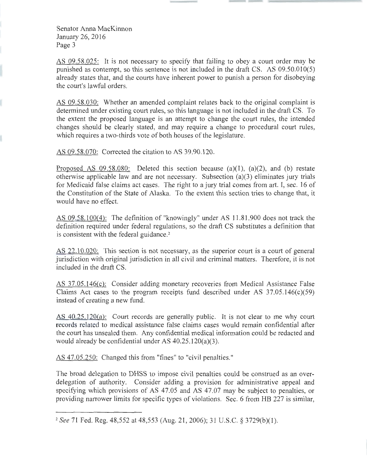AS 09.58.025: It is not necessary to specify that failing to obey a court order may be punished as contempt, so this sentence is not included in the draft CS. AS 09.50.010(5) already states that, and the courts have inherent power to punish a person for disobeying the court's lawful orders.

AS 09.58.030: Whether an amended complaint relates back to the original complaint is determined under existing court rules, so this language is not included in the draft CS. To the extent the proposed language is an attempt to change the court rules, the intended changes should be clearly stated, and may require a change to procedural court rules, which requires a two-thirds vote of both houses of the legislature.

AS 09.58.070: Corrected the citation to AS 39.90.120.

Proposed AS 09.58.080: Deleted this section because (a)(1), (a)(2), and (b) restate otherwise applicable law and are not necessary. Subsection (a)(3) eliminates jury trials for Medicaid false claims act cases. The right to a jury trial comes from art. I, sec. 16 of the Constitution of the State of Alaska. To the extent this section tries to change that, it would have no effect.

AS 09.58.100(4): The definition of "knowingly" under AS 11.81.900 does not track the definition required under federal regulations, so the draft CS substitutes a definition that is consistent with the federal guidance. 2

AS 22.10.020: This section is not necessary, as the superior court is a court of general jurisdiction with original jurisdiction in all civil and criminal matters. Therefore, it is not included in the draft CS.

AS 37.05.146(c): Consider adding monetary recoveries from Medical Assistance False Claims Act cases to the program receipts fund described under AS  $37.05.146(c)(59)$ instead of creating a new fund.

AS 40.25.120(a): Court records are generally public. It is not clear to me why court records related to medical assistance false claims cases would remain confidential after the court has unsealed them. Any confidential medical information could be redacted and would already be confidential under AS 40.25.120(a)(3).

AS 47.05 .250: Changed this from "fines" to "civil penalties."

The broad delegation to DHSS to impose civil penalties could be construed as an overdelegation of authority. Consider adding a provision for administrative appeal and specifying which provisions of AS 47.05 and AS 47.07 may be subject to penalties, or providing narrower limits for specific types of violations. Sec. 6 from HB 227 is similar,

<sup>2</sup>*See* 71 Fed. Reg. 48,552 at 48,553 (Aug. 21 , 2006); 31 U.S.C. § 3729(b)(l).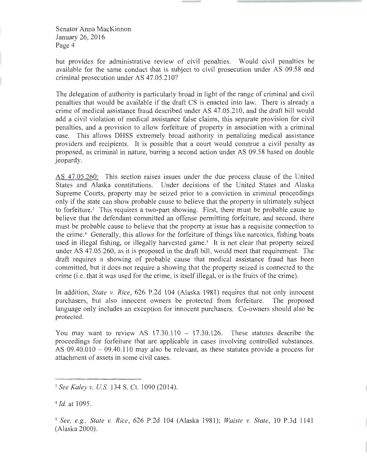but provides for administrative review of civil penalties. Would civil penalties be available for the same conduct that is subject to civil prosecution under AS 09.58 and criminal prosecution under AS 47.05.210?

The delegation of authority is particularly broad in light of the range of criminal and civil penalties that would be available if the draft CS is enacted into law. There is already a crime of medical assistance fraud described under AS 47.05 .210, and the draft bill would add a civil violation of medical assistance false claims, this separate provision for civil penalties, and a provision to allow forfeiture of property in association with a criminal case. This allows DHSS extremely broad authority in penalizing medical assistance providers and recipients. It is possible that a court would construe a civil penalty as proposed, as criminal in nature, barring a second action under AS 09.58 based on double jeopardy.

AS 47.05.260: This section raises issues under the due process clause of the United States and Alaska constitutions. Under decisions of the United States and Alaska Supreme Courts, property may be seized prior to a conviction in criminal proceedings only if the state can show probable cause to believe that the property is ultimately subject to forfeiture.<sup>3</sup> This requires a two-part showing. First, there must be probable cause to believe that the defendant committed an offense permitting forfeiture, and second, there must be probable cause to believe that the property at issue has a requisite connection to the crime.<sup>4</sup> Generally, this allows for the forfeiture of things like narcotics, fishing boats used in illegal fishing, or illegally harvested game.<sup>5</sup> It is not clear that property seized under AS 47.05.260, as it is proposed in the draft bill, would meet that requirement. The draft requires a showing of probable cause that medical assistance fraud has been committed, but it does not require a showing that the property seized is connected to the crime (i.e. that it was used for the crime, is itself illegal, or is the fruits of the crime).

In addition, *State v. Rice,* 626 P.2d 104 (Alaska 1981) requires that not only innocent purchasers, but also innocent owners be protected from forfeiture. The proposed language only includes an exception for innocent purchasers. Co-owners should also be protected.

You may want to review AS  $17.30.110 - 17.30.126$ . These statutes describe the proceedings for forfeiture that are applicable in cases involving controlled substances. AS 09.40.010 - 09.40.110 may also be relevant, as these statutes provide a process for attachment of assets in some civil cases.

<sup>3</sup>*See Kaley v. US* 134 S. Ct. 1090 (2014).

*<sup>4</sup> ld.* at 1095.

*<sup>5</sup> See, e.g., State v. Rice,* 626 P.2d 104 (Alaska 1981); *Waiste v. State ,* 10 P.3d 1141 (Alaska 2000).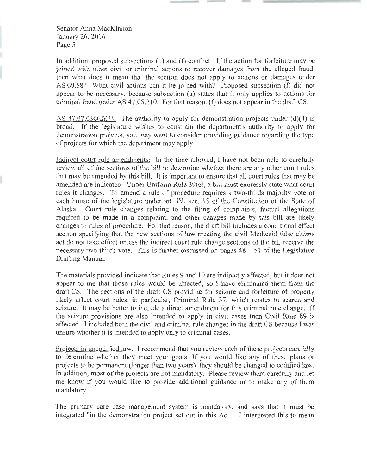In addition, proposed subsections (d) and (f) conflict. If the action for forfeiture may be joined with other civil or criminal actions to recover damages from the alleged fraud, then what does it mean that the section does not apply to actions or damages under AS 09.58? What civil actions can it be joined with? Proposed subsection (f) did not appear to be necessary, because subsection (a) states that it only applies to actions for criminal fraud under AS 47.05 .210. For that reason, (f) does not appear in the draft CS.

AS 47.07.036(d)(4): The authority to apply for demonstration projects under (d)(4) is broad. If the legislature wishes to constrain the department's authority to apply for demonstration projects, you may want to consider providing guidance regarding the type of projects for which the department may apply.

Indirect court rule amendments: In the time allowed, I have not been able to carefully review all of the sections of the bill to determine whether there are any other court rules that may be amended by this bill. It is important to ensure that all court rules that may be amended are indicated. Under Uniform Rule 39(e), a bill must expressly state what court rules it changes. To amend a rule of procedure requires a two-thirds majority vote of each house of the legislature under art. IV, sec. 15 of the Constitution of the State of Alaska. Court rule changes relating to the filing of complaints, factual allegations required to be made in a complaint, and other changes made by this bill are likely changes to rules of procedure. For that reason, the draft bill includes a conditional effect section specifying that the new sections of law creating the civil Medicaid false claims act do not take effect unless the indirect court rule change sections of the bill receive the necessary two-thirds vote. This is further discussed on pages  $48 - 51$  of the Legislative Drafting Manual.

The materials provided indicate that Rules 9 and 10 are indirectly affected, but it does not appear to me that those rules would be affected, so I have eliminated them from the draft CS. The sections of the draft CS providing for seizure and forfeiture of property likely affect court rules, in particular, Criminal Rule 37, which relates to search and seizure. It may be better to include a direct amendment for this criminal rule change. If the seizure provisions are also intended to apply in civil cases then Civil Rule 89 is affected. I included both the civil and criminal rule changes in the draft CS because I was unsure whether it is intended to apply only to criminal cases.

Projects in uncodified law: I recommend that you review each of these projects carefully to determine whether they meet your goals. If you would like any of these plans or projects to be permanent (longer than two years), they should be changed to codified law. In addition, most of the projects are not mandatory. Please review them carefully and let me know if you would like to provide additional guidance or to make any of them mandatory.

The primary care case management system is mandatory, and says that it must be integrated "in the demonstration project set out in this Act." I interpreted this to mean